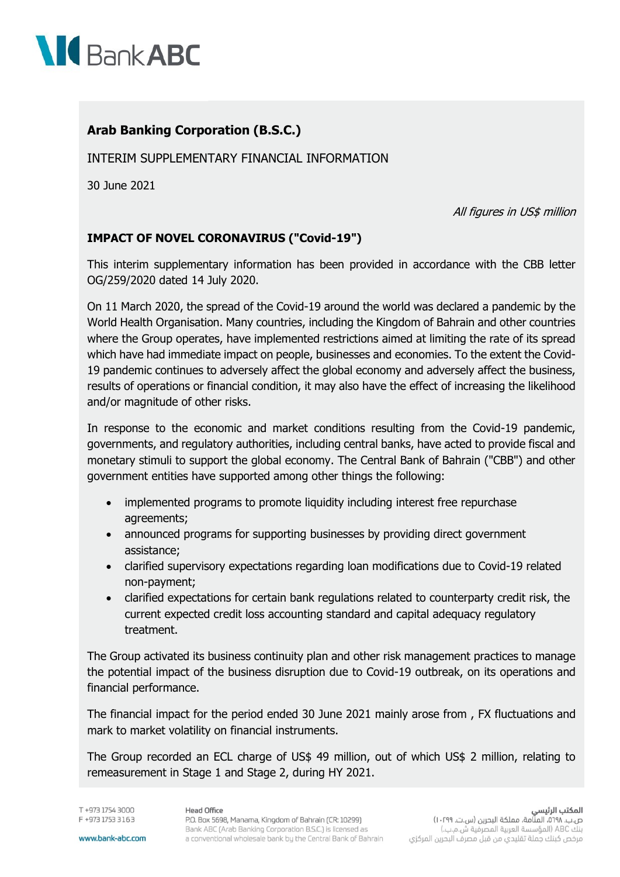

## **Arab Banking Corporation (B.S.C.)**

INTERIM SUPPLEMENTARY FINANCIAL INFORMATION

30 June 2021

All figures in US\$ million

## **IMPACT OF NOVEL CORONAVIRUS ("Covid-19")**

This interim supplementary information has been provided in accordance with the CBB letter OG/259/2020 dated 14 July 2020.

On 11 March 2020, the spread of the Covid-19 around the world was declared a pandemic by the World Health Organisation. Many countries, including the Kingdom of Bahrain and other countries where the Group operates, have implemented restrictions aimed at limiting the rate of its spread which have had immediate impact on people, businesses and economies. To the extent the Covid-19 pandemic continues to adversely affect the global economy and adversely affect the business, results of operations or financial condition, it may also have the effect of increasing the likelihood and/or magnitude of other risks.

In response to the economic and market conditions resulting from the Covid-19 pandemic, governments, and regulatory authorities, including central banks, have acted to provide fiscal and monetary stimuli to support the global economy. The Central Bank of Bahrain ("CBB") and other government entities have supported among other things the following:

- implemented programs to promote liquidity including interest free repurchase agreements;
- announced programs for supporting businesses by providing direct government assistance;
- clarified supervisory expectations regarding loan modifications due to Covid-19 related non-payment;
- clarified expectations for certain bank regulations related to counterparty credit risk, the current expected credit loss accounting standard and capital adequacy regulatory treatment.

The Group activated its business continuity plan and other risk management practices to manage the potential impact of the business disruption due to Covid-19 outbreak, on its operations and financial performance.

The financial impact for the period ended 30 June 2021 mainly arose from , FX fluctuations and mark to market volatility on financial instruments.

The Group recorded an ECL charge of US\$ 49 million, out of which US\$ 2 million, relating to remeasurement in Stage 1 and Stage 2, during HY 2021.

T +973 1754 3000 F +973 1753 3163 **Head Office**